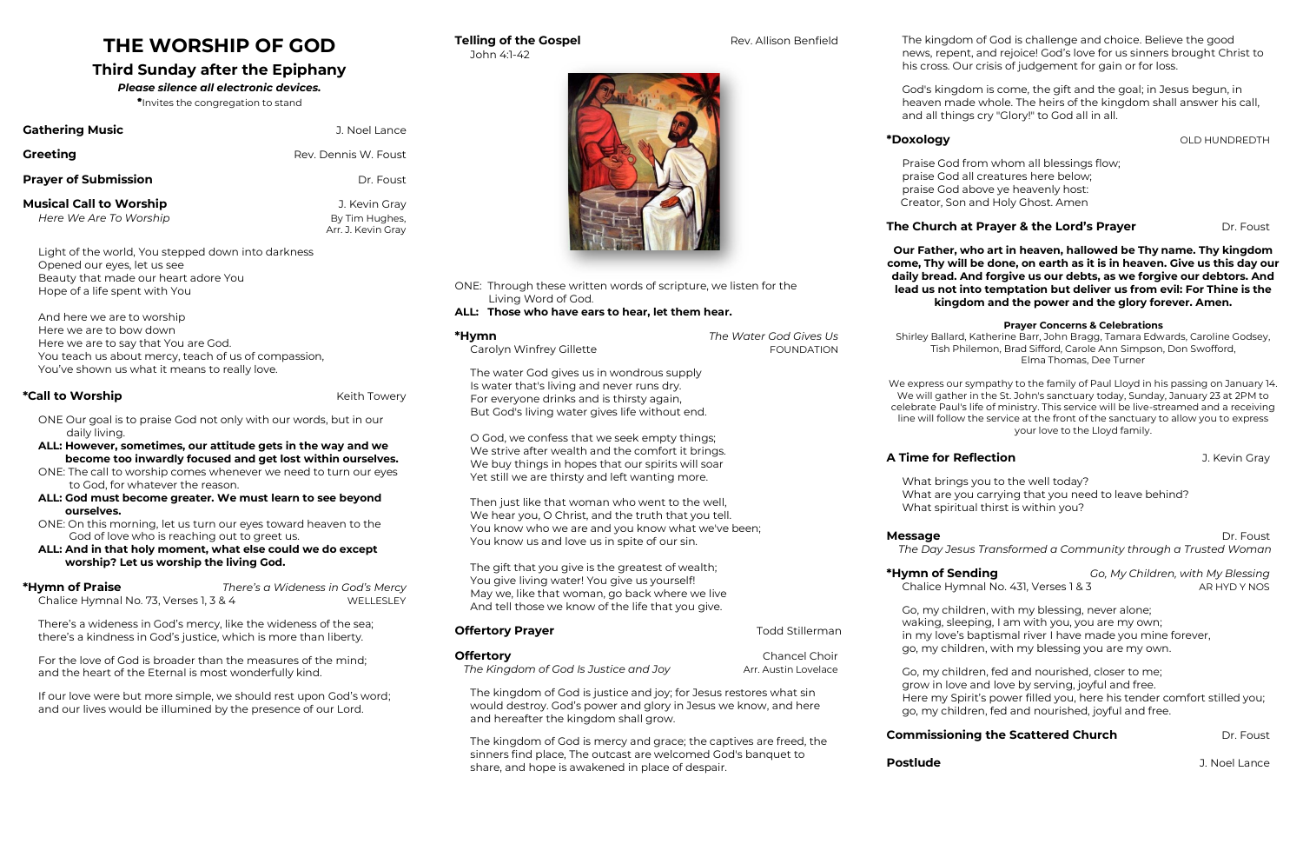# **THE WORSHIP OF GOD**

# **Third Sunday after the Epiphany**

# *Please silence all electronic devices.*

\*Invites the congregation to stand

| <b>Gathering Music</b>      | J. Noel Lance        |
|-----------------------------|----------------------|
| <b>Greeting</b>             | Rev. Dennis W. Foust |
| <b>Prayer of Submission</b> | Dr. Foust            |

**Musical Call to Worship J. Kevin Gray** *Here We Are To Worship* **By Tim Hughes,** 

Arr. J. Kevin Gray

Light of the world, You stepped down into darkness Opened our eyes, let us see Beauty that made our heart adore You Hope of a life spent with You

And here we are to worship Here we are to bow down Here we are to say that You are God. You teach us about mercy, teach of us of compassion, You've shown us what it means to really love.

# **\*Call to Worship**  The **Kell of the U.S. In the U.S. In the U.S. In the Kelth Towery <b>Kell to Worship**

**\*Hymn of Praise** *There's a Wideness in God's Mercy* Chalice Hymnal No. 73, Verses 1, 3 & 4 WELLESLEY

If our love were but more simple, we should rest upon God's word; and our lives would be illumined by the presence of our Lord.

- ONE Our goal is to praise God not only with our words, but in our daily living.
- **ALL: However, sometimes, our attitude gets in the way and we become too inwardly focused and get lost within ourselves.**
- ONE: The call to worship comes whenever we need to turn our eyes to God, for whatever the reason.
- **ALL: God must become greater. We must learn to see beyond ourselves.**
- ONE: On this morning, let us turn our eyes toward heaven to the God of love who is reaching out to greet us.
- **ALL: And in that holy moment, what else could we do except worship? Let us worship the living God.**

There's a wideness in God's mercy, like the wideness of the sea; there's a kindness in God's justice, which is more than liberty.

**Offertory Prayer and Stillerman Todd Stillerman Offertory** Chancel Choir *The Kingdom of God Is Justice and Joy* **Arr. Austin Lovelace** The kingdom of God is justice and joy; for Jesus restores what sin would destroy. God's power and glory in Jesus we know, and here and hereafter the kingdom shall grow.

For the love of God is broader than the measures of the mind; and the heart of the Eternal is most wonderfully kind.

John 4:1-42



ONE: Through these written words of scripture, we listen for the Living Word of God.

# **ALL: Those who have ears to hear, let them hear.**

| *Hymn                                                                                                                                                                                  | The Water God Gives Us |
|----------------------------------------------------------------------------------------------------------------------------------------------------------------------------------------|------------------------|
| Carolyn Winfrey Gillette                                                                                                                                                               | <b>FOUNDATION</b>      |
| The water God gives us in wondrous supply<br>Is water that's living and never runs dry.<br>For everyone drinks and is thirsty again,<br>But God's living water gives life without end. |                        |

O God, we confess that we seek empty things; We strive after wealth and the comfort it brings. We buy things in hopes that our spirits will soar Yet still we are thirsty and left wanting more.

Then just like that woman who went to the well, We hear you, O Christ, and the truth that you tell. You know who we are and you know what we've been; You know us and love us in spite of our sin.

**Message** Dr. Foust  *The Day Jesus Transformed a Community through a Trusted Woman*

**\*Hymn of Sending** *Go, My Children, with My Blessing* Chalice Hymnal No. 431, Verses 1 & 3 AR HYD Y NOS

**Postlude Contract Contract Contract Contract Contract Contract Contract Contract Contract Contract Contract Contract Contract Contract Contract Contract Contract Contract Contract Contract Contract Contract Contract Con** 

The gift that you give is the greatest of wealth; You give living water! You give us yourself! May we, like that woman, go back where we live And tell those we know of the life that you give.

The kingdom of God is mercy and grace; the captives are freed, the sinners find place, The outcast are welcomed God's banquet to share, and hope is awakened in place of despair.

**Telling of the Gospel <b>Rev.** Allison Benfield

The kingdom of God is challenge and choice. Believe the good news, repent, and rejoice! God's love for us sinners brought Christ to his cross. Our crisis of judgement for gain or for loss.

# **The Church at Prayer & the Lord's Prayer** Dr. Foust

God's kingdom is come, the gift and the goal; in Jesus begun, in heaven made whole. The heirs of the kingdom shall answer his call, and all things cry "Glory!" to God all in all.

\*Doxology **block of the set of the set of the set of the set of the set of the set of the set of the set of the set of the set of the set of the set of the set of the set of the set of the set of the set of the set of the** 

Praise God from whom all blessings flow; praise God all creatures here below; praise God above ye heavenly host: Creator, Son and Holy Ghost. Amen

**Our Father, who art in heaven, hallowed be Thy name. Thy kingdom come, Thy will be done, on earth as it is in heaven. Give us this day our daily bread. And forgive us our debts, as we forgive our debtors. And lead us not into temptation but deliver us from evil: For Thine is the kingdom and the power and the glory forever. Amen.**

# **Prayer Concerns & Celebrations**

Shirley Ballard, Katherine Barr, John Bragg, Tamara Edwards, Caroline Godsey, Tish Philemon, Brad Sifford, Carole Ann Simpson, Don Swofford, Elma Thomas, Dee Turner

We express our sympathy to the family of Paul Lloyd in his passing on January 14. We will gather in the St. John's sanctuary today, Sunday, January 23 at 2PM to celebrate Paul's life of ministry. This service will be live-streamed and a receiving line will follow the service at the front of the sanctuary to allow you to express your love to the Lloyd family.

**A Time for Reflection A Time for Reflection** 

What brings you to the well today? What are you carrying that you need to leave behind? What spiritual thirst is within you?

Go, my children, with my blessing, never alone; waking, sleeping, I am with you, you are my own; in my love's baptismal river I have made you mine forever, go, my children, with my blessing you are my own.

Go, my children, fed and nourished, closer to me; grow in love and love by serving, joyful and free. Here my Spirit's power filled you, here his tender comfort stilled you; go, my children, fed and nourished, joyful and free.

# **Commissioning the Scattered Church Dr. Foust**